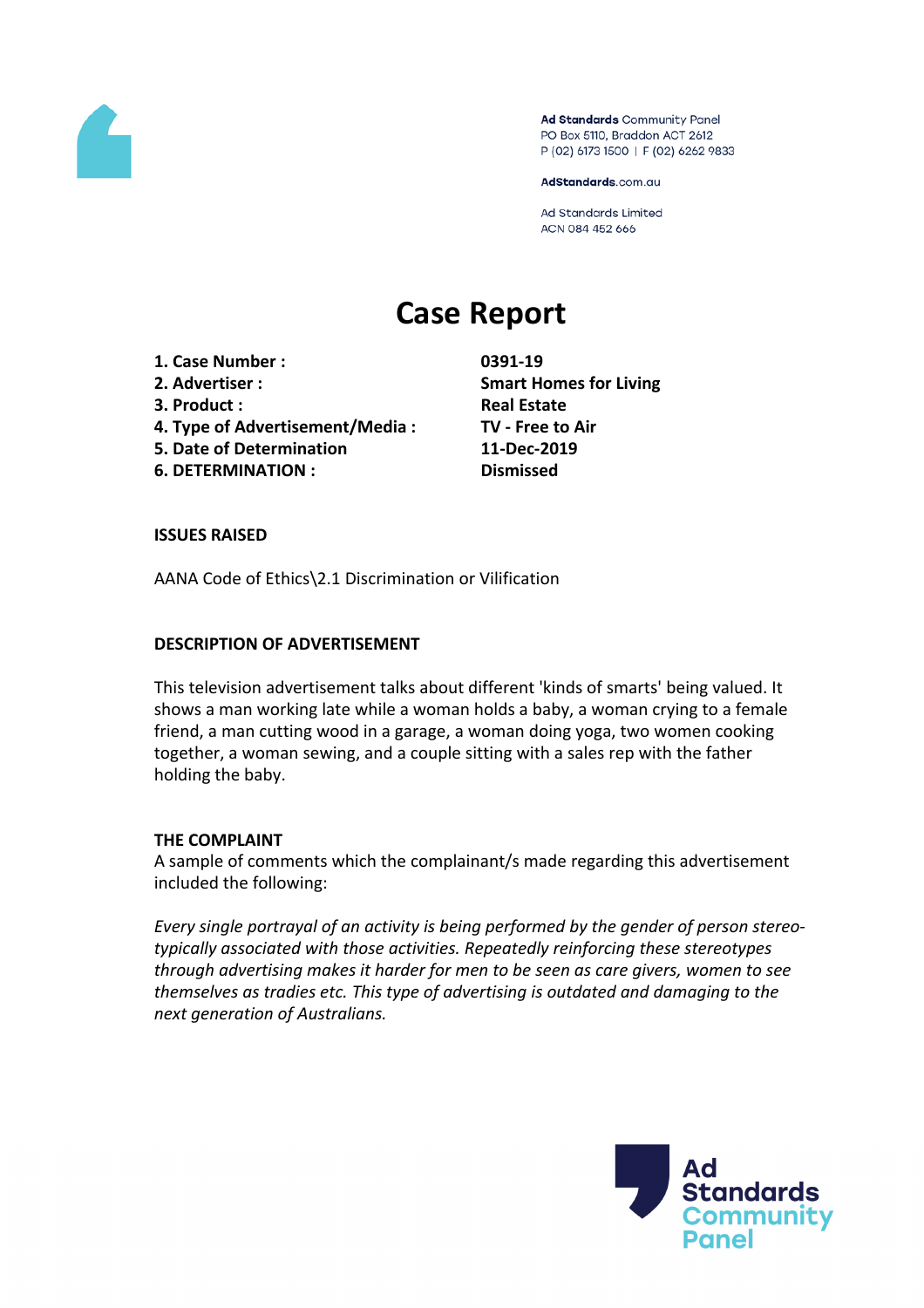

Ad Standards Community Panel PO Box 5110, Braddon ACT 2612 P (02) 6173 1500 | F (02) 6262 9833

AdStandards.com.au

Ad Standards Limited ACN 084 452 666

# **Case Report**

- **1. Case Number : 0391-19**
- 
- **3. Product : Real Estate**
- **4. Type of Advertisement/Media : TV - Free to Air**
- **5. Date of Determination 11-Dec-2019**
- **6. DETERMINATION : Dismissed**

**2. Advertiser : Smart Homes for Living**

# **ISSUES RAISED**

AANA Code of Ethics\2.1 Discrimination or Vilification

# **DESCRIPTION OF ADVERTISEMENT**

This television advertisement talks about different 'kinds of smarts' being valued. It shows a man working late while a woman holds a baby, a woman crying to a female friend, a man cutting wood in a garage, a woman doing yoga, two women cooking together, a woman sewing, and a couple sitting with a sales rep with the father holding the baby.

## **THE COMPLAINT**

A sample of comments which the complainant/s made regarding this advertisement included the following:

*Every single portrayal of an activity is being performed by the gender of person stereotypically associated with those activities. Repeatedly reinforcing these stereotypes through advertising makes it harder for men to be seen as care givers, women to see themselves as tradies etc. This type of advertising is outdated and damaging to the next generation of Australians.*

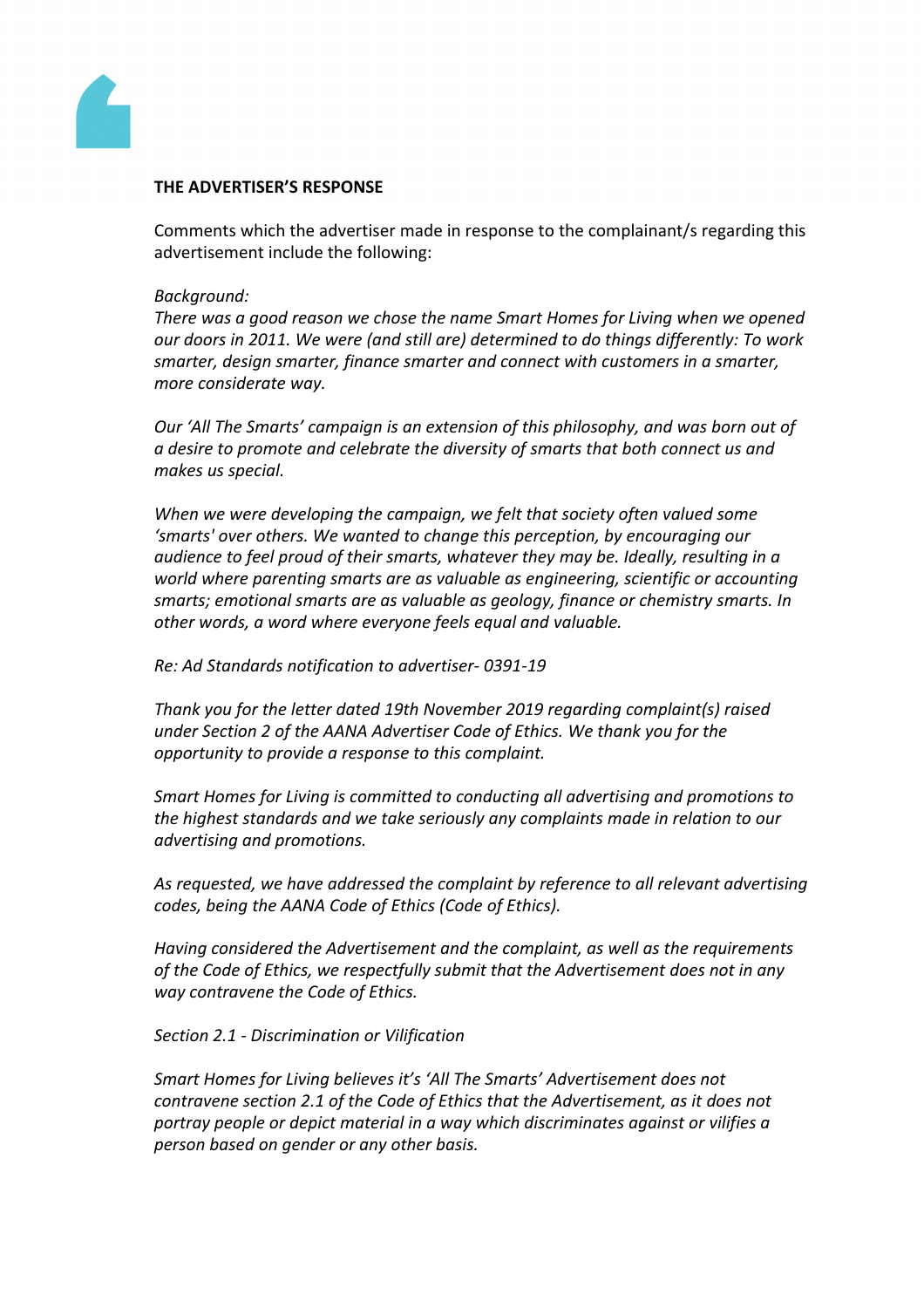

### **THE ADVERTISER'S RESPONSE**

Comments which the advertiser made in response to the complainant/s regarding this advertisement include the following:

### *Background:*

*There was a good reason we chose the name Smart Homes for Living when we opened our doors in 2011. We were (and still are) determined to do things differently: To work smarter, design smarter, finance smarter and connect with customers in a smarter, more considerate way.*

*Our 'All The Smarts' campaign is an extension of this philosophy, and was born out of a desire to promote and celebrate the diversity of smarts that both connect us and makes us special.*

*When we were developing the campaign, we felt that society often valued some 'smarts' over others. We wanted to change this perception, by encouraging our audience to feel proud of their smarts, whatever they may be. Ideally, resulting in a world where parenting smarts are as valuable as engineering, scientific or accounting smarts; emotional smarts are as valuable as geology, finance or chemistry smarts. In other words, a word where everyone feels equal and valuable.*

*Re: Ad Standards notification to advertiser- 0391-19*

*Thank you for the letter dated 19th November 2019 regarding complaint(s) raised under Section 2 of the AANA Advertiser Code of Ethics. We thank you for the opportunity to provide a response to this complaint.*

*Smart Homes for Living is committed to conducting all advertising and promotions to the highest standards and we take seriously any complaints made in relation to our advertising and promotions.*

*As requested, we have addressed the complaint by reference to all relevant advertising codes, being the AANA Code of Ethics (Code of Ethics).*

*Having considered the Advertisement and the complaint, as well as the requirements of the Code of Ethics, we respectfully submit that the Advertisement does not in any way contravene the Code of Ethics.*

*Section 2.1 - Discrimination or Vilification*

*Smart Homes for Living believes it's 'All The Smarts' Advertisement does not contravene section 2.1 of the Code of Ethics that the Advertisement, as it does not portray people or depict material in a way which discriminates against or vilifies a person based on gender or any other basis.*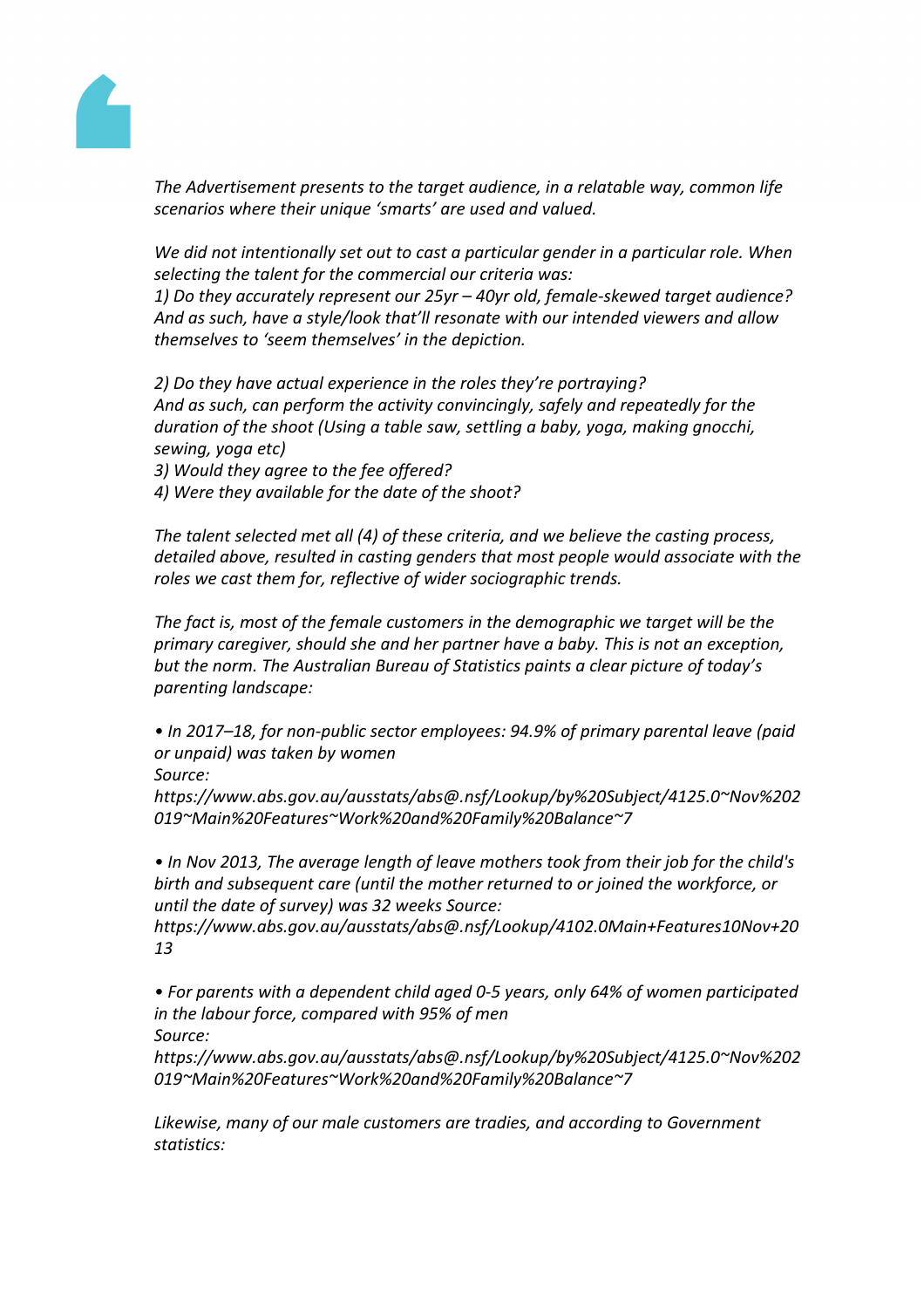

*The Advertisement presents to the target audience, in a relatable way, common life scenarios where their unique 'smarts' are used and valued.* 

*We did not intentionally set out to cast a particular gender in a particular role. When selecting the talent for the commercial our criteria was:*

*1) Do they accurately represent our 25yr – 40yr old, female-skewed target audience? And as such, have a style/look that'll resonate with our intended viewers and allow themselves to 'seem themselves' in the depiction.*

*2) Do they have actual experience in the roles they're portraying? And as such, can perform the activity convincingly, safely and repeatedly for the duration of the shoot (Using a table saw, settling a baby, yoga, making gnocchi, sewing, yoga etc)*

*3) Would they agree to the fee offered?*

*4) Were they available for the date of the shoot?*

*The talent selected met all (4) of these criteria, and we believe the casting process, detailed above, resulted in casting genders that most people would associate with the roles we cast them for, reflective of wider sociographic trends.*

*The fact is, most of the female customers in the demographic we target will be the primary caregiver, should she and her partner have a baby. This is not an exception, but the norm. The Australian Bureau of Statistics paints a clear picture of today's parenting landscape:*

*• In 2017–18, for non-public sector employees: 94.9% of primary parental leave (paid or unpaid) was taken by women*

*Source:*

*https://www.abs.gov.au/ausstats/abs@.nsf/Lookup/by%20Subject/4125.0~Nov%202 019~Main%20Features~Work%20and%20Family%20Balance~7*

*• In Nov 2013, The average length of leave mothers took from their job for the child's birth and subsequent care (until the mother returned to or joined the workforce, or until the date of survey) was 32 weeks Source:*

*https://www.abs.gov.au/ausstats/abs@.nsf/Lookup/4102.0Main+Features10Nov+20 13*

*• For parents with a dependent child aged 0-5 years, only 64% of women participated in the labour force, compared with 95% of men Source:*

*https://www.abs.gov.au/ausstats/abs@.nsf/Lookup/by%20Subject/4125.0~Nov%202 019~Main%20Features~Work%20and%20Family%20Balance~7*

*Likewise, many of our male customers are tradies, and according to Government statistics:*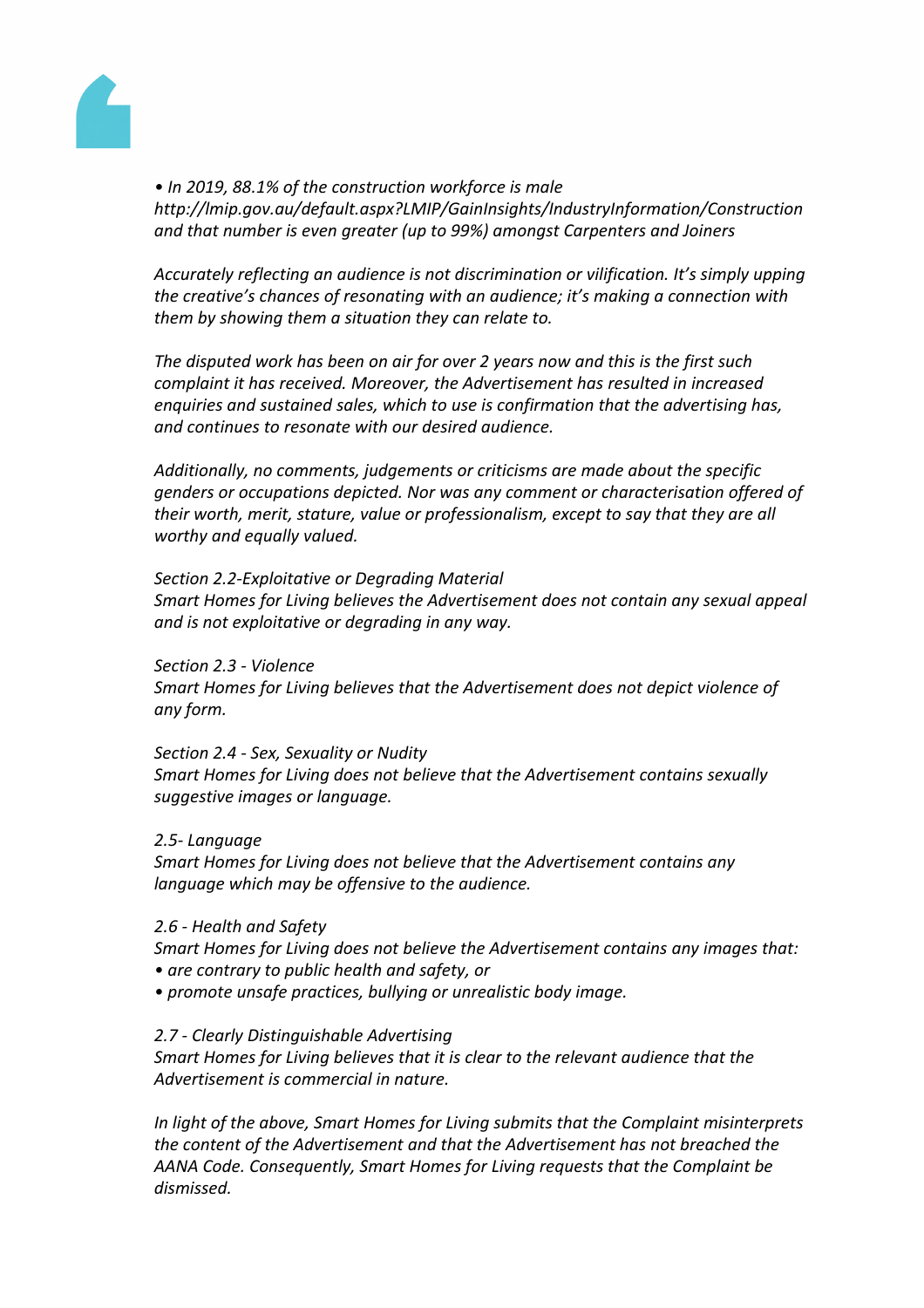

*• In 2019, 88.1% of the construction workforce is male http://lmip.gov.au/default.aspx?LMIP/GainInsights/IndustryInformation/Construction and that number is even greater (up to 99%) amongst Carpenters and Joiners*

*Accurately reflecting an audience is not discrimination or vilification. It's simply upping the creative's chances of resonating with an audience; it's making a connection with them by showing them a situation they can relate to.*

*The disputed work has been on air for over 2 years now and this is the first such complaint it has received. Moreover, the Advertisement has resulted in increased enquiries and sustained sales, which to use is confirmation that the advertising has, and continues to resonate with our desired audience.*

*Additionally, no comments, judgements or criticisms are made about the specific genders or occupations depicted. Nor was any comment or characterisation offered of their worth, merit, stature, value or professionalism, except to say that they are all worthy and equally valued.*

*Section 2.2-Exploitative or Degrading Material Smart Homes for Living believes the Advertisement does not contain any sexual appeal and is not exploitative or degrading in any way.*

*Section 2.3 - Violence Smart Homes for Living believes that the Advertisement does not depict violence of any form.*

*Section 2.4 - Sex, Sexuality or Nudity Smart Homes for Living does not believe that the Advertisement contains sexually suggestive images or language.*

*2.5- Language*

*Smart Homes for Living does not believe that the Advertisement contains any language which may be offensive to the audience.*

*2.6 - Health and Safety*

*Smart Homes for Living does not believe the Advertisement contains any images that:*

- *• are contrary to public health and safety, or*
- *• promote unsafe practices, bullying or unrealistic body image.*
- *2.7 - Clearly Distinguishable Advertising*

*Smart Homes for Living believes that it is clear to the relevant audience that the Advertisement is commercial in nature.*

*In light of the above, Smart Homes for Living submits that the Complaint misinterprets the content of the Advertisement and that the Advertisement has not breached the AANA Code. Consequently, Smart Homes for Living requests that the Complaint be dismissed.*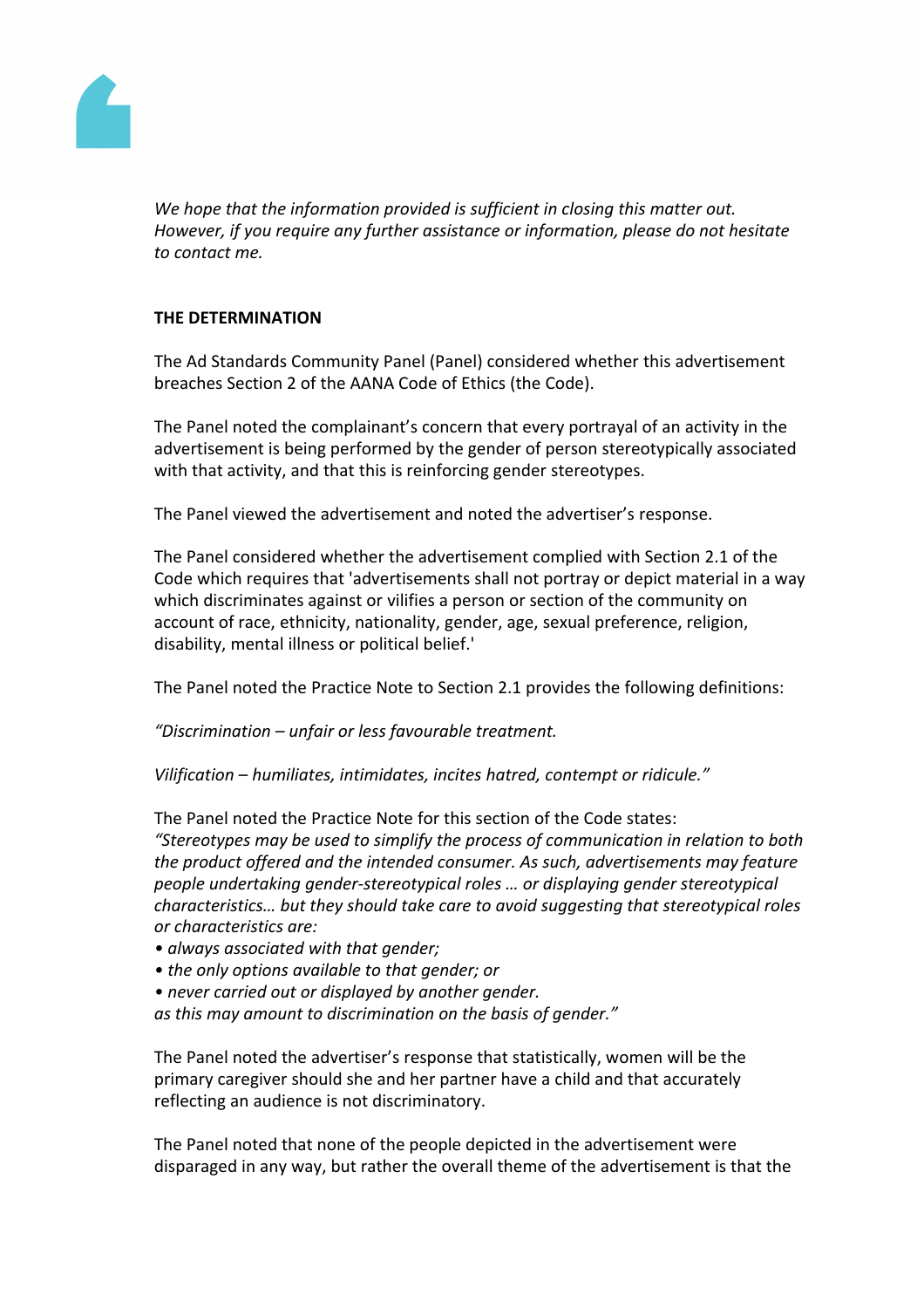

*We hope that the information provided is sufficient in closing this matter out. However, if you require any further assistance or information, please do not hesitate to contact me.*

# **THE DETERMINATION**

The Ad Standards Community Panel (Panel) considered whether this advertisement breaches Section 2 of the AANA Code of Ethics (the Code).

The Panel noted the complainant's concern that every portrayal of an activity in the advertisement is being performed by the gender of person stereotypically associated with that activity, and that this is reinforcing gender stereotypes.

The Panel viewed the advertisement and noted the advertiser's response.

The Panel considered whether the advertisement complied with Section 2.1 of the Code which requires that 'advertisements shall not portray or depict material in a way which discriminates against or vilifies a person or section of the community on account of race, ethnicity, nationality, gender, age, sexual preference, religion, disability, mental illness or political belief.'

The Panel noted the Practice Note to Section 2.1 provides the following definitions:

*"Discrimination – unfair or less favourable treatment.*

*Vilification – humiliates, intimidates, incites hatred, contempt or ridicule."* 

The Panel noted the Practice Note for this section of the Code states:

*"Stereotypes may be used to simplify the process of communication in relation to both the product offered and the intended consumer. As such, advertisements may feature people undertaking gender-stereotypical roles … or displaying gender stereotypical characteristics… but they should take care to avoid suggesting that stereotypical roles or characteristics are:*

- *• always associated with that gender;*
- *• the only options available to that gender; or*
- *• never carried out or displayed by another gender.*

*as this may amount to discrimination on the basis of gender."*

The Panel noted the advertiser's response that statistically, women will be the primary caregiver should she and her partner have a child and that accurately reflecting an audience is not discriminatory.

The Panel noted that none of the people depicted in the advertisement were disparaged in any way, but rather the overall theme of the advertisement is that the